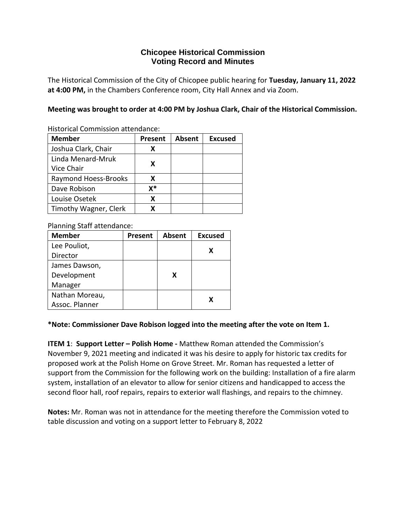# **Chicopee Historical Commission Voting Record and Minutes**

The Historical Commission of the City of Chicopee public hearing for **Tuesday, January 11, 2022 at 4:00 PM,** in the Chambers Conference room, City Hall Annex and via Zoom.

**Meeting was brought to order at 4:00 PM by Joshua Clark, Chair of the Historical Commission.**

Historical Commission attendance:

| <b>Member</b>         | <b>Present</b> | <b>Absent</b> | <b>Excused</b> |
|-----------------------|----------------|---------------|----------------|
| Joshua Clark, Chair   | x              |               |                |
| Linda Menard-Mruk     |                |               |                |
| Vice Chair            | X              |               |                |
| Raymond Hoess-Brooks  | x              |               |                |
| Dave Robison          | x*             |               |                |
| Louise Osetek         | x              |               |                |
| Timothy Wagner, Clerk |                |               |                |

Planning Staff attendance:

| <b>Member</b>  | Present | <b>Absent</b> | <b>Excused</b> |
|----------------|---------|---------------|----------------|
| Lee Pouliot,   |         |               | X              |
| Director       |         |               |                |
| James Dawson,  |         |               |                |
| Development    |         | x             |                |
| Manager        |         |               |                |
| Nathan Moreau, |         |               | x              |
| Assoc. Planner |         |               |                |

### **\*Note: Commissioner Dave Robison logged into the meeting after the vote on Item 1.**

**ITEM 1**: **Support Letter – Polish Home -** Matthew Roman attended the Commission's November 9, 2021 meeting and indicated it was his desire to apply for historic tax credits for proposed work at the Polish Home on Grove Street. Mr. Roman has requested a letter of support from the Commission for the following work on the building: Installation of a fire alarm system, installation of an elevator to allow for senior citizens and handicapped to access the second floor hall, roof repairs, repairs to exterior wall flashings, and repairs to the chimney.

**Notes:** Mr. Roman was not in attendance for the meeting therefore the Commission voted to table discussion and voting on a support letter to February 8, 2022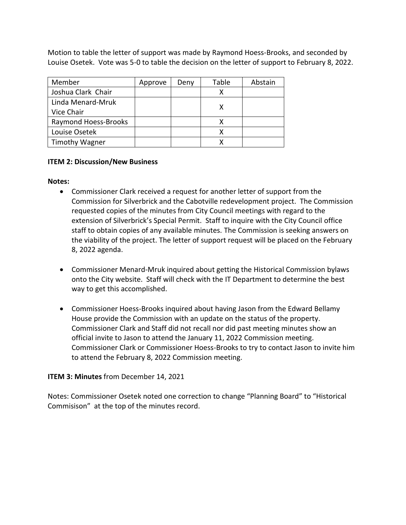Motion to table the letter of support was made by Raymond Hoess-Brooks, and seconded by Louise Osetek. Vote was 5-0 to table the decision on the letter of support to February 8, 2022.

| Member                | Approve | Deny | Table | Abstain |
|-----------------------|---------|------|-------|---------|
| Joshua Clark Chair    |         |      |       |         |
| Linda Menard-Mruk     |         |      |       |         |
| Vice Chair            |         |      |       |         |
| Raymond Hoess-Brooks  |         |      |       |         |
| Louise Osetek         |         |      |       |         |
| <b>Timothy Wagner</b> |         |      |       |         |

### **ITEM 2: Discussion/New Business**

### **Notes:**

- Commissioner Clark received a request for another letter of support from the Commission for Silverbrick and the Cabotville redevelopment project. The Commission requested copies of the minutes from City Council meetings with regard to the extension of Silverbrick's Special Permit. Staff to inquire with the City Council office staff to obtain copies of any available minutes. The Commission is seeking answers on the viability of the project. The letter of support request will be placed on the February 8, 2022 agenda.
- Commissioner Menard-Mruk inquired about getting the Historical Commission bylaws onto the City website. Staff will check with the IT Department to determine the best way to get this accomplished.
- Commissioner Hoess-Brooks inquired about having Jason from the Edward Bellamy House provide the Commission with an update on the status of the property. Commissioner Clark and Staff did not recall nor did past meeting minutes show an official invite to Jason to attend the January 11, 2022 Commission meeting. Commissioner Clark or Commissioner Hoess-Brooks to try to contact Jason to invite him to attend the February 8, 2022 Commission meeting.

### **ITEM 3: Minutes** from December 14, 2021

Notes: Commissioner Osetek noted one correction to change "Planning Board" to "Historical Commisison" at the top of the minutes record.